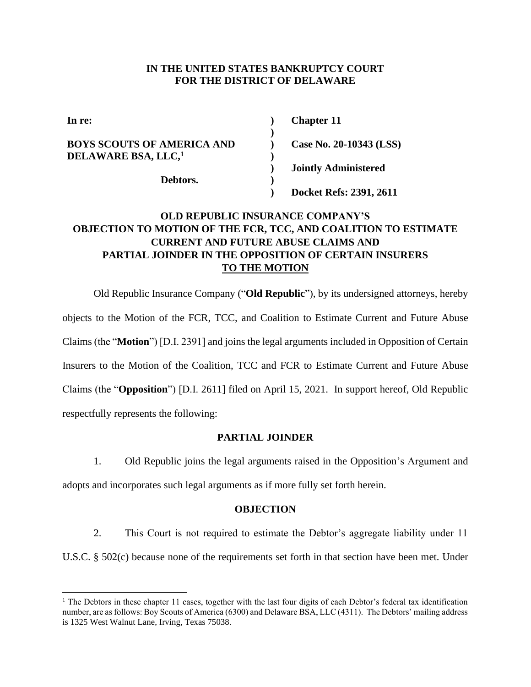#### **IN THE UNITED STATES BANKRUPTCY COURT FOR THE DISTRICT OF DELAWARE**

| In re:                            | <b>Chapter 11</b>           |
|-----------------------------------|-----------------------------|
| <b>BOYS SCOUTS OF AMERICA AND</b> | Case No. 20-10343 (LSS)     |
| DELAWARE BSA, LLC, <sup>1</sup>   | <b>Jointly Administered</b> |
| Debtors.                          | Docket Refs: 2391, 2611     |

# **OLD REPUBLIC INSURANCE COMPANY'S OBJECTION TO MOTION OF THE FCR, TCC, AND COALITION TO ESTIMATE CURRENT AND FUTURE ABUSE CLAIMS AND PARTIAL JOINDER IN THE OPPOSITION OF CERTAIN INSURERS TO THE MOTION**

Old Republic Insurance Company ("**Old Republic**"), by its undersigned attorneys, hereby objects to the Motion of the FCR, TCC, and Coalition to Estimate Current and Future Abuse Claims (the "**Motion**") [D.I. 2391] and joins the legal arguments included in Opposition of Certain Insurers to the Motion of the Coalition, TCC and FCR to Estimate Current and Future Abuse Claims (the "**Opposition**") [D.I. 2611] filed on April 15, 2021. In support hereof, Old Republic respectfully represents the following:

### **PARTIAL JOINDER**

1. Old Republic joins the legal arguments raised in the Opposition's Argument and adopts and incorporates such legal arguments as if more fully set forth herein.

#### **OBJECTION**

2. This Court is not required to estimate the Debtor's aggregate liability under 11 U.S.C. § 502(c) because none of the requirements set forth in that section have been met. Under

<sup>&</sup>lt;sup>1</sup> The Debtors in these chapter 11 cases, together with the last four digits of each Debtor's federal tax identification number, are as follows: Boy Scouts of America (6300) and Delaware BSA, LLC (4311). The Debtors' mailing address is 1325 West Walnut Lane, Irving, Texas 75038.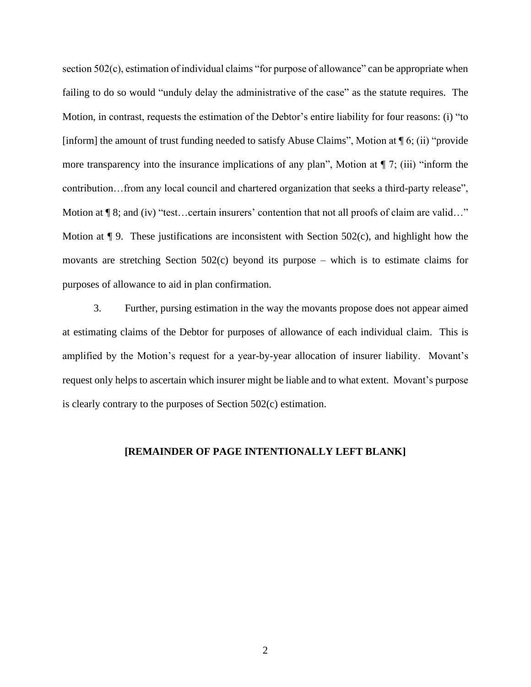section 502(c), estimation of individual claims "for purpose of allowance" can be appropriate when failing to do so would "unduly delay the administrative of the case" as the statute requires. The Motion, in contrast, requests the estimation of the Debtor's entire liability for four reasons: (i) "to [inform] the amount of trust funding needed to satisfy Abuse Claims", Motion at  $\P$  6; (ii) "provide more transparency into the insurance implications of any plan", Motion at  $\P$  7; (iii) "inform the contribution…from any local council and chartered organization that seeks a third-party release", Motion at  $\P$  8; and (iv) "test...certain insurers' contention that not all proofs of claim are valid..." Motion at  $\P$  9. These justifications are inconsistent with Section 502(c), and highlight how the movants are stretching Section 502(c) beyond its purpose – which is to estimate claims for purposes of allowance to aid in plan confirmation.

3. Further, pursing estimation in the way the movants propose does not appear aimed at estimating claims of the Debtor for purposes of allowance of each individual claim. This is amplified by the Motion's request for a year-by-year allocation of insurer liability. Movant's request only helps to ascertain which insurer might be liable and to what extent. Movant's purpose is clearly contrary to the purposes of Section 502(c) estimation.

#### **[REMAINDER OF PAGE INTENTIONALLY LEFT BLANK]**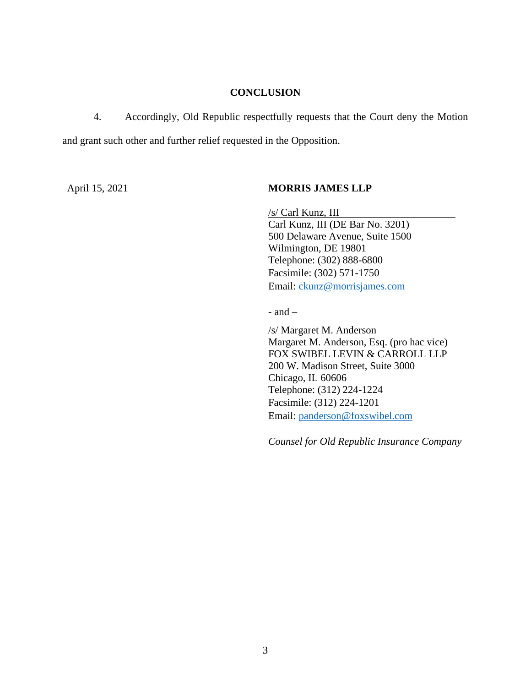### **CONCLUSION**

4. Accordingly, Old Republic respectfully requests that the Court deny the Motion and grant such other and further relief requested in the Opposition.

## April 15, 2021 **MORRIS JAMES LLP**

/s/ Carl Kunz, III Carl Kunz, III (DE Bar No. 3201) 500 Delaware Avenue, Suite 1500 Wilmington, DE 19801 Telephone: (302) 888-6800 Facsimile: (302) 571-1750 Email: ckunz@morrisjames.com

- and –

/s/ Margaret M. Anderson Margaret M. Anderson, Esq. (pro hac vice) FOX SWIBEL LEVIN & CARROLL LLP 200 W. Madison Street, Suite 3000 Chicago, IL 60606 Telephone: (312) 224-1224 Facsimile: (312) 224-1201 Email: panderson@foxswibel.com

*Counsel for Old Republic Insurance Company*